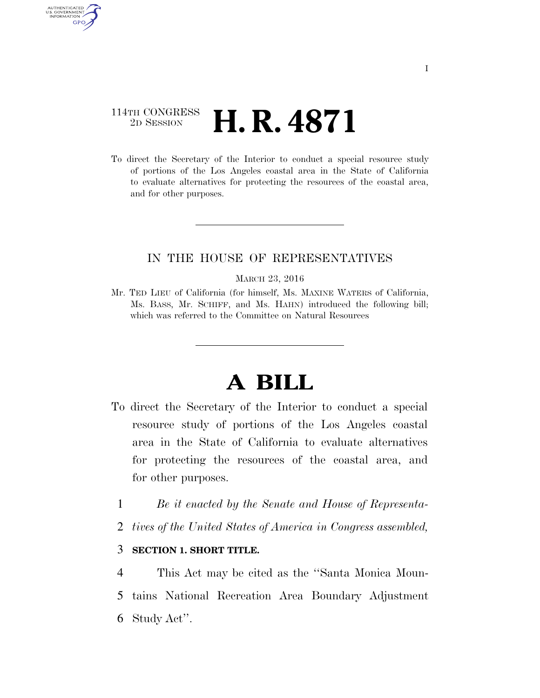### 114TH CONGRESS <sup>2D SESSION</sup> **H. R. 4871**

AUTHENTICATED U.S. GOVERNMENT **GPO** 

> To direct the Secretary of the Interior to conduct a special resource study of portions of the Los Angeles coastal area in the State of California to evaluate alternatives for protecting the resources of the coastal area, and for other purposes.

### IN THE HOUSE OF REPRESENTATIVES

#### MARCH 23, 2016

Mr. TED LIEU of California (for himself, Ms. MAXINE WATERS of California, Ms. BASS, Mr. SCHIFF, and Ms. HAHN) introduced the following bill; which was referred to the Committee on Natural Resources

## **A BILL**

- To direct the Secretary of the Interior to conduct a special resource study of portions of the Los Angeles coastal area in the State of California to evaluate alternatives for protecting the resources of the coastal area, and for other purposes.
	- 1 *Be it enacted by the Senate and House of Representa-*
	- 2 *tives of the United States of America in Congress assembled,*

#### 3 **SECTION 1. SHORT TITLE.**

4 This Act may be cited as the ''Santa Monica Moun-5 tains National Recreation Area Boundary Adjustment 6 Study Act''.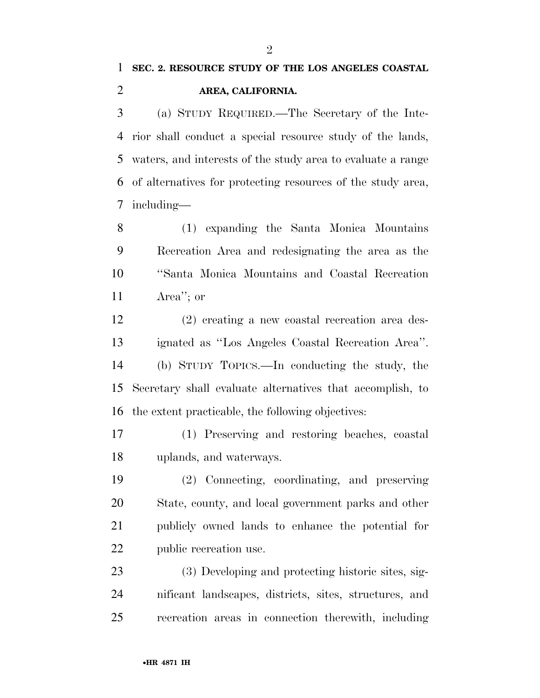# **SEC. 2. RESOURCE STUDY OF THE LOS ANGELES COASTAL AREA, CALIFORNIA.**

 (a) STUDY REQUIRED.—The Secretary of the Inte- rior shall conduct a special resource study of the lands, waters, and interests of the study area to evaluate a range of alternatives for protecting resources of the study area, including—

 (1) expanding the Santa Monica Mountains Recreation Area and redesignating the area as the ''Santa Monica Mountains and Coastal Recreation Area''; or

 (2) creating a new coastal recreation area des- ignated as ''Los Angeles Coastal Recreation Area''. (b) STUDY TOPICS.—In conducting the study, the Secretary shall evaluate alternatives that accomplish, to the extent practicable, the following objectives:

 (1) Preserving and restoring beaches, coastal uplands, and waterways.

 (2) Connecting, coordinating, and preserving State, county, and local government parks and other publicly owned lands to enhance the potential for public recreation use.

 (3) Developing and protecting historic sites, sig- nificant landscapes, districts, sites, structures, and recreation areas in connection therewith, including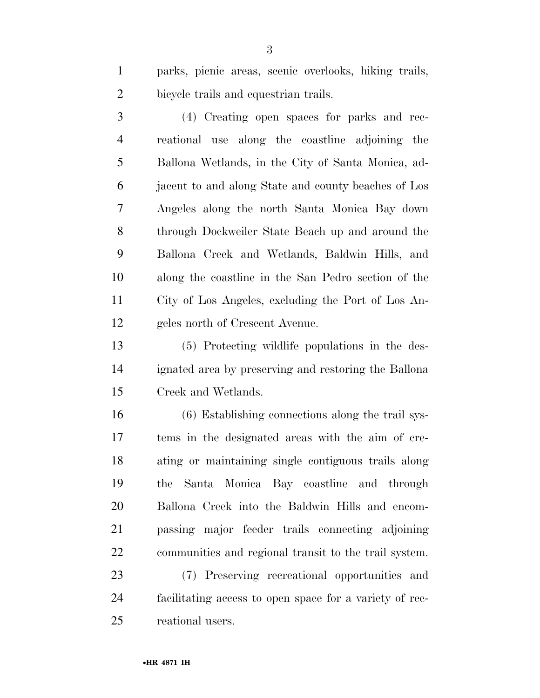parks, picnic areas, scenic overlooks, hiking trails, bicycle trails and equestrian trails.

 (4) Creating open spaces for parks and rec- reational use along the coastline adjoining the Ballona Wetlands, in the City of Santa Monica, ad- jacent to and along State and county beaches of Los Angeles along the north Santa Monica Bay down through Dockweiler State Beach up and around the Ballona Creek and Wetlands, Baldwin Hills, and along the coastline in the San Pedro section of the City of Los Angeles, excluding the Port of Los An-geles north of Crescent Avenue.

 (5) Protecting wildlife populations in the des- ignated area by preserving and restoring the Ballona Creek and Wetlands.

 (6) Establishing connections along the trail sys- tems in the designated areas with the aim of cre- ating or maintaining single contiguous trails along the Santa Monica Bay coastline and through Ballona Creek into the Baldwin Hills and encom- passing major feeder trails connecting adjoining communities and regional transit to the trail system.

 (7) Preserving recreational opportunities and facilitating access to open space for a variety of rec-reational users.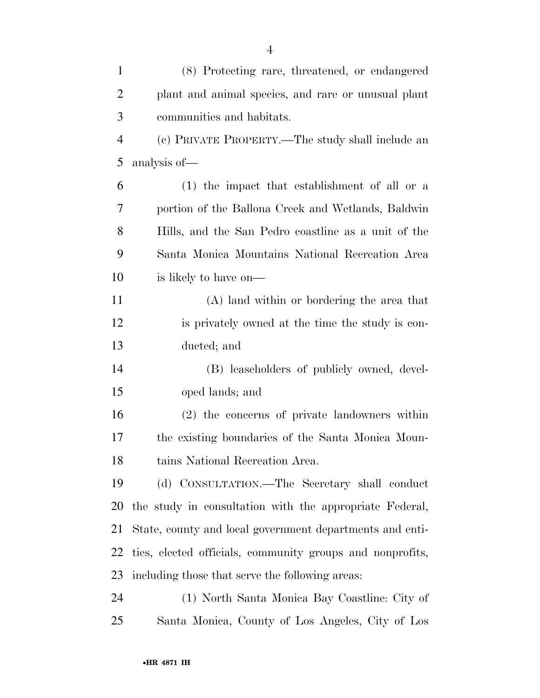| $\mathbf{1}$   | (8) Protecting rare, threatened, or endangered            |
|----------------|-----------------------------------------------------------|
| $\overline{2}$ | plant and animal species, and rare or unusual plant       |
| 3              | communities and habitats.                                 |
| $\overline{4}$ | (c) PRIVATE PROPERTY.—The study shall include an          |
| 5              | analysis of—                                              |
| 6              | $(1)$ the impact that establishment of all or a           |
| 7              | portion of the Ballona Creek and Wetlands, Baldwin        |
| 8              | Hills, and the San Pedro coastline as a unit of the       |
| 9              | Santa Monica Mountains National Recreation Area           |
| 10             | is likely to have on—                                     |
| 11             | (A) land within or bordering the area that                |
| 12             | is privately owned at the time the study is con-          |
| 13             | ducted; and                                               |
| 14             | (B) leaseholders of publicly owned, devel-                |
| 15             | oped lands; and                                           |
| 16             | (2) the concerns of private landowners within             |
| 17             | the existing boundaries of the Santa Monica Moun-         |
| 18             | tains National Recreation Area.                           |
| 19             | (d) CONSULTATION.—The Secretary shall conduct             |
| 20             | the study in consultation with the appropriate Federal,   |
| 21             | State, county and local government departments and enti-  |
| 22             | ties, elected officials, community groups and nonprofits, |
| 23             | including those that serve the following areas:           |
| 24             | (1) North Santa Monica Bay Coastline: City of             |
| 25             | Santa Monica, County of Los Angeles, City of Los          |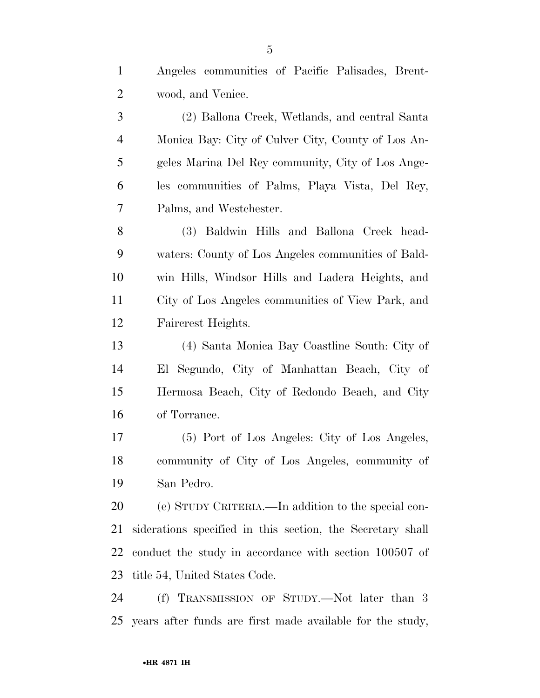| $\mathbf{1}$   | Angeles communities of Pacific Palisades, Brent-           |
|----------------|------------------------------------------------------------|
| $\overline{2}$ | wood, and Venice.                                          |
| 3              | (2) Ballona Creek, Wetlands, and central Santa             |
| $\overline{4}$ | Monica Bay: City of Culver City, County of Los An-         |
| 5              | geles Marina Del Rey community, City of Los Ange-          |
| 6              | les communities of Palms, Playa Vista, Del Rey,            |
| $\tau$         | Palms, and Westchester.                                    |
| 8              | (3) Baldwin Hills and Ballona Creek head-                  |
| 9              | waters: County of Los Angeles communities of Bald-         |
| 10             | win Hills, Windsor Hills and Ladera Heights, and           |
| 11             | City of Los Angeles communities of View Park, and          |
| 12             | Faircrest Heights.                                         |
| 13             | (4) Santa Monica Bay Coastline South: City of              |
| 14             | El Segundo, City of Manhattan Beach, City of               |
| 15             | Hermosa Beach, City of Redondo Beach, and City             |
| 16             | of Torrance.                                               |
| 17             | (5) Port of Los Angeles: City of Los Angeles,              |
| 18             | community of City of Los Angeles, community of             |
| 19             | San Pedro.                                                 |
| 20             | (e) STUDY CRITERIA.—In addition to the special con-        |
| 21             | siderations specified in this section, the Secretary shall |
| 22             | conduct the study in accordance with section 100507 of     |
| 23             | title 54, United States Code.                              |
| 24             | (f) TRANSMISSION OF STUDY.—Not later than 3                |
| 25             | years after funds are first made available for the study,  |